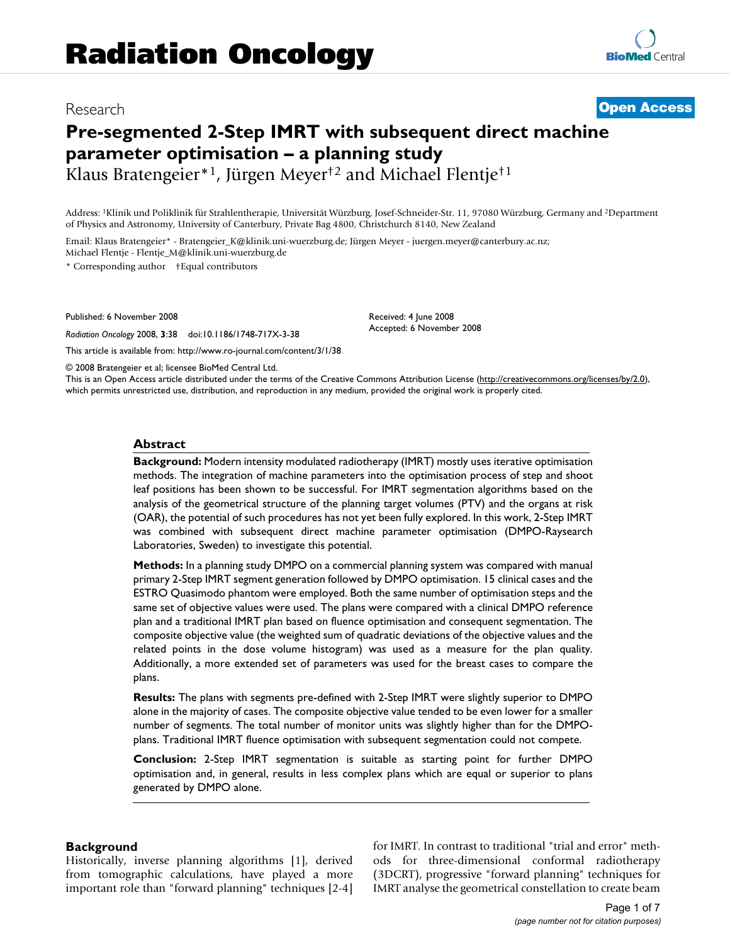# Research **[Open Access](http://www.biomedcentral.com/info/about/charter/)**

# **Pre-segmented 2-Step IMRT with subsequent direct machine parameter optimisation – a planning study**

Klaus Bratengeier\*1, Jürgen Meyer†2 and Michael Flentje†1

Address: 1Klinik und Poliklinik für Strahlentherapie, Universität Würzburg, Josef-Schneider-Str. 11, 97080 Würzburg, Germany and 2Department of Physics and Astronomy, University of Canterbury, Private Bag 4800, Christchurch 8140, New Zealand

Email: Klaus Bratengeier\* - Bratengeier\_K@klinik.uni-wuerzburg.de; Jürgen Meyer - juergen.meyer@canterbury.ac.nz; Michael Flentje - Flentje\_M@klinik.uni-wuerzburg.de

\* Corresponding author †Equal contributors

Published: 6 November 2008

*Radiation Oncology* 2008, **3**:38 doi:10.1186/1748-717X-3-38

[This article is available from: http://www.ro-journal.com/content/3/1/38](http://www.ro-journal.com/content/3/1/38)

© 2008 Bratengeier et al; licensee BioMed Central Ltd.

This is an Open Access article distributed under the terms of the Creative Commons Attribution License [\(http://creativecommons.org/licenses/by/2.0\)](http://creativecommons.org/licenses/by/2.0), which permits unrestricted use, distribution, and reproduction in any medium, provided the original work is properly cited.

Received: 4 June 2008 Accepted: 6 November 2008

#### **Abstract**

**Background:** Modern intensity modulated radiotherapy (IMRT) mostly uses iterative optimisation methods. The integration of machine parameters into the optimisation process of step and shoot leaf positions has been shown to be successful. For IMRT segmentation algorithms based on the analysis of the geometrical structure of the planning target volumes (PTV) and the organs at risk (OAR), the potential of such procedures has not yet been fully explored. In this work, 2-Step IMRT was combined with subsequent direct machine parameter optimisation (DMPO-Raysearch Laboratories, Sweden) to investigate this potential.

**Methods:** In a planning study DMPO on a commercial planning system was compared with manual primary 2-Step IMRT segment generation followed by DMPO optimisation. 15 clinical cases and the ESTRO Quasimodo phantom were employed. Both the same number of optimisation steps and the same set of objective values were used. The plans were compared with a clinical DMPO reference plan and a traditional IMRT plan based on fluence optimisation and consequent segmentation. The composite objective value (the weighted sum of quadratic deviations of the objective values and the related points in the dose volume histogram) was used as a measure for the plan quality. Additionally, a more extended set of parameters was used for the breast cases to compare the plans.

**Results:** The plans with segments pre-defined with 2-Step IMRT were slightly superior to DMPO alone in the majority of cases. The composite objective value tended to be even lower for a smaller number of segments. The total number of monitor units was slightly higher than for the DMPOplans. Traditional IMRT fluence optimisation with subsequent segmentation could not compete.

**Conclusion:** 2-Step IMRT segmentation is suitable as starting point for further DMPO optimisation and, in general, results in less complex plans which are equal or superior to plans generated by DMPO alone.

#### **Background**

Historically, inverse planning algorithms [1], derived from tomographic calculations, have played a more important role than "forward planning" techniques [2-4] for IMRT. In contrast to traditional "trial and error" methods for three-dimensional conformal radiotherapy (3DCRT), progressive "forward planning" techniques for IMRT analyse the geometrical constellation to create beam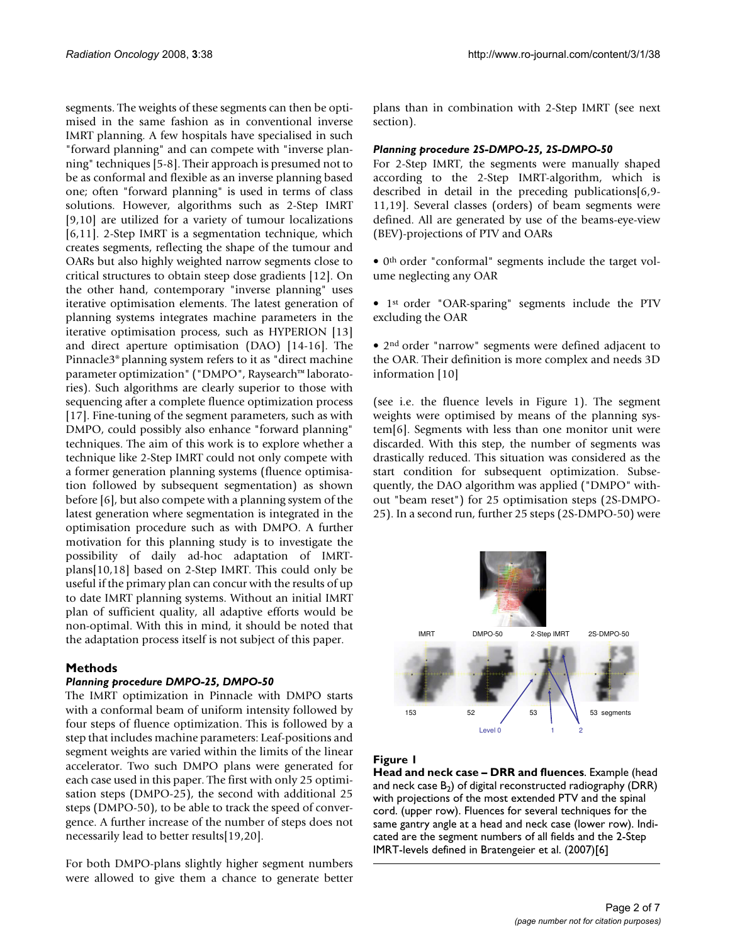segments. The weights of these segments can then be optimised in the same fashion as in conventional inverse IMRT planning. A few hospitals have specialised in such "forward planning" and can compete with "inverse planning" techniques [5-8]. Their approach is presumed not to be as conformal and flexible as an inverse planning based one; often "forward planning" is used in terms of class solutions. However, algorithms such as 2-Step IMRT [9,10] are utilized for a variety of tumour localizations [6,11]. 2-Step IMRT is a segmentation technique, which creates segments, reflecting the shape of the tumour and OARs but also highly weighted narrow segments close to critical structures to obtain steep dose gradients [12]. On the other hand, contemporary "inverse planning" uses iterative optimisation elements. The latest generation of planning systems integrates machine parameters in the iterative optimisation process, such as HYPERION [13] and direct aperture optimisation (DAO) [14-16]. The Pinnacle3® planning system refers to it as "direct machine parameter optimization" ("DMPO", Raysearch™ laboratories). Such algorithms are clearly superior to those with sequencing after a complete fluence optimization process [17]. Fine-tuning of the segment parameters, such as with DMPO, could possibly also enhance "forward planning" techniques. The aim of this work is to explore whether a technique like 2-Step IMRT could not only compete with a former generation planning systems (fluence optimisation followed by subsequent segmentation) as shown before [6], but also compete with a planning system of the latest generation where segmentation is integrated in the optimisation procedure such as with DMPO. A further motivation for this planning study is to investigate the possibility of daily ad-hoc adaptation of IMRTplans[10,18] based on 2-Step IMRT. This could only be useful if the primary plan can concur with the results of up to date IMRT planning systems. Without an initial IMRT plan of sufficient quality, all adaptive efforts would be non-optimal. With this in mind, it should be noted that the adaptation process itself is not subject of this paper.

## **Methods**

#### *Planning procedure DMPO-25, DMPO-50*

The IMRT optimization in Pinnacle with DMPO starts with a conformal beam of uniform intensity followed by four steps of fluence optimization. This is followed by a step that includes machine parameters: Leaf-positions and segment weights are varied within the limits of the linear accelerator. Two such DMPO plans were generated for each case used in this paper. The first with only 25 optimisation steps (DMPO-25), the second with additional 25 steps (DMPO-50), to be able to track the speed of convergence. A further increase of the number of steps does not necessarily lead to better results[19,20].

For both DMPO-plans slightly higher segment numbers were allowed to give them a chance to generate better

plans than in combination with 2-Step IMRT (see next section).

#### *Planning procedure 2S-DMPO-25, 2S-DMPO-50*

For 2-Step IMRT, the segments were manually shaped according to the 2-Step IMRT-algorithm, which is described in detail in the preceding publications[6,9- 11,19]. Several classes (orders) of beam segments were defined. All are generated by use of the beams-eye-view (BEV)-projections of PTV and OARs

• 0<sup>th</sup> order "conformal" segments include the target volume neglecting any OAR

• 1st order "OAR-sparing" segments include the PTV excluding the OAR

• 2<sup>nd</sup> order "narrow" segments were defined adjacent to the OAR. Their definition is more complex and needs 3D information [10]

(see i.e. the fluence levels in Figure 1). The segment weights were optimised by means of the planning system[6]. Segments with less than one monitor unit were discarded. With this step, the number of segments was drastically reduced. This situation was considered as the start condition for subsequent optimization. Subsequently, the DAO algorithm was applied ("DMPO" without "beam reset") for 25 optimisation steps (2S-DMPO-25). In a second run, further 25 steps (2S-DMPO-50) were



#### **Figure 1**

**Head and neck case – DRR and fluences**. Example (head and neck case  $B_2$ ) of digital reconstructed radiography (DRR) with projections of the most extended PTV and the spinal cord. (upper row). Fluences for several techniques for the same gantry angle at a head and neck case (lower row). Indicated are the segment numbers of all fields and the 2-Step IMRT-levels defined in Bratengeier et al. (2007)[6]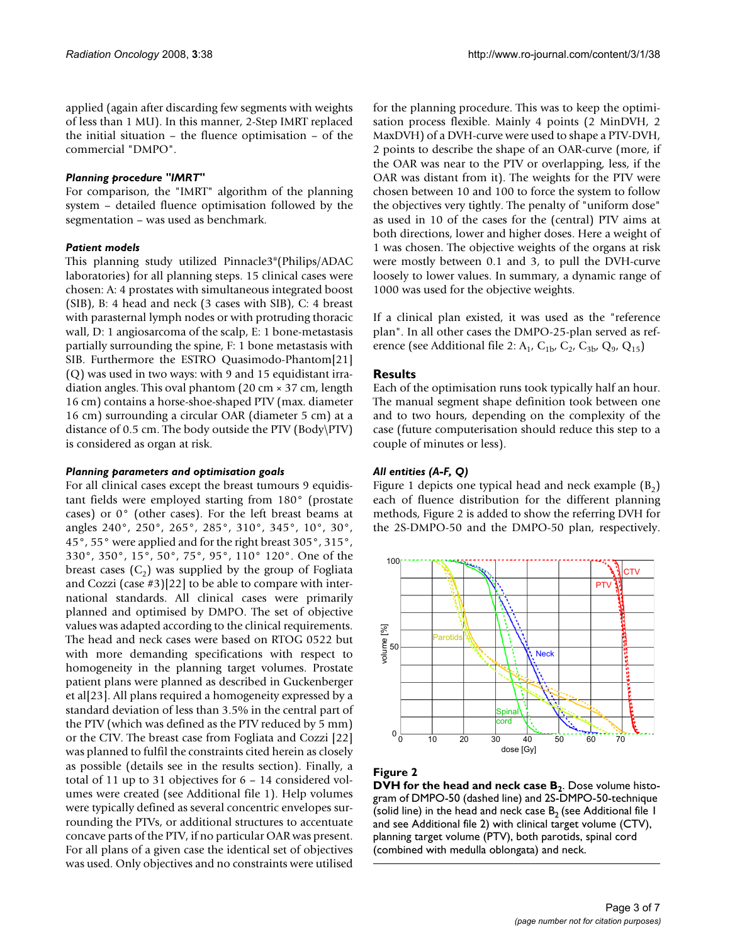applied (again after discarding few segments with weights of less than 1 MU). In this manner, 2-Step IMRT replaced the initial situation – the fluence optimisation – of the commercial "DMPO".

#### *Planning procedure "IMRT"*

For comparison, the "IMRT" algorithm of the planning system – detailed fluence optimisation followed by the segmentation – was used as benchmark.

## *Patient models*

This planning study utilized Pinnacle3®(Philips/ADAC laboratories) for all planning steps. 15 clinical cases were chosen: A: 4 prostates with simultaneous integrated boost (SIB), B: 4 head and neck (3 cases with SIB), C: 4 breast with parasternal lymph nodes or with protruding thoracic wall, D: 1 angiosarcoma of the scalp, E: 1 bone-metastasis partially surrounding the spine, F: 1 bone metastasis with SIB. Furthermore the ESTRO Quasimodo-Phantom[21] (Q) was used in two ways: with 9 and 15 equidistant irradiation angles. This oval phantom (20 cm × 37 cm, length 16 cm) contains a horse-shoe-shaped PTV (max. diameter 16 cm) surrounding a circular OAR (diameter 5 cm) at a distance of 0.5 cm. The body outside the PTV (Body\PTV) is considered as organ at risk.

#### *Planning parameters and optimisation goals*

For all clinical cases except the breast tumours 9 equidistant fields were employed starting from 180° (prostate cases) or 0° (other cases). For the left breast beams at angles 240°, 250°, 265°, 285°, 310°, 345°, 10°, 30°, 45°, 55° were applied and for the right breast 305°, 315°, 330°, 350°, 15°, 50°, 75°, 95°, 110° 120°. One of the breast cases  $(C_2)$  was supplied by the group of Fogliata and Cozzi (case #3)[22] to be able to compare with international standards. All clinical cases were primarily planned and optimised by DMPO. The set of objective values was adapted according to the clinical requirements. The head and neck cases were based on RTOG 0522 but with more demanding specifications with respect to homogeneity in the planning target volumes. Prostate patient plans were planned as described in Guckenberger et al[23]. All plans required a homogeneity expressed by a standard deviation of less than 3.5% in the central part of the PTV (which was defined as the PTV reduced by 5 mm) or the CTV. The breast case from Fogliata and Cozzi [22] was planned to fulfil the constraints cited herein as closely as possible (details see in the results section). Finally, a total of 11 up to 31 objectives for 6 – 14 considered volumes were created (see Additional file 1). Help volumes were typically defined as several concentric envelopes surrounding the PTVs, or additional structures to accentuate concave parts of the PTV, if no particular OAR was present. For all plans of a given case the identical set of objectives was used. Only objectives and no constraints were utilised

for the planning procedure. This was to keep the optimisation process flexible. Mainly 4 points (2 MinDVH, 2 MaxDVH) of a DVH-curve were used to shape a PTV-DVH, 2 points to describe the shape of an OAR-curve (more, if the OAR was near to the PTV or overlapping, less, if the OAR was distant from it). The weights for the PTV were chosen between 10 and 100 to force the system to follow the objectives very tightly. The penalty of "uniform dose" as used in 10 of the cases for the (central) PTV aims at both directions, lower and higher doses. Here a weight of 1 was chosen. The objective weights of the organs at risk were mostly between 0.1 and 3, to pull the DVH-curve loosely to lower values. In summary, a dynamic range of 1000 was used for the objective weights.

If a clinical plan existed, it was used as the "reference plan". In all other cases the DMPO-25-plan served as reference (see Additional file 2:  $A_1$ ,  $C_{1b}$ ,  $C_2$ ,  $C_{3b}$ ,  $Q_9$ ,  $Q_{15}$ )

## **Results**

Each of the optimisation runs took typically half an hour. The manual segment shape definition took between one and to two hours, depending on the complexity of the case (future computerisation should reduce this step to a couple of minutes or less).

## *All entities (A-F, Q)*

Figure 1 depicts one typical head and neck example  $(B_2)$ each of fluence distribution for the different planning methods, Figure 2 is added to show the referring DVH for the 2S-DMPO-50 and the DMPO-50 plan, respectively.



# **Figure 2**

**DVH for the head and neck case B<sub>2</sub>**. Dose volume histogram of DMPO-50 (dashed line) and 2S-DMPO-50-technique (solid line) in the head and neck case  $B_2$  (see Additional file 1 and see Additional file 2) with clinical target volume (CTV), planning target volume (PTV), both parotids, spinal cord (combined with medulla oblongata) and neck.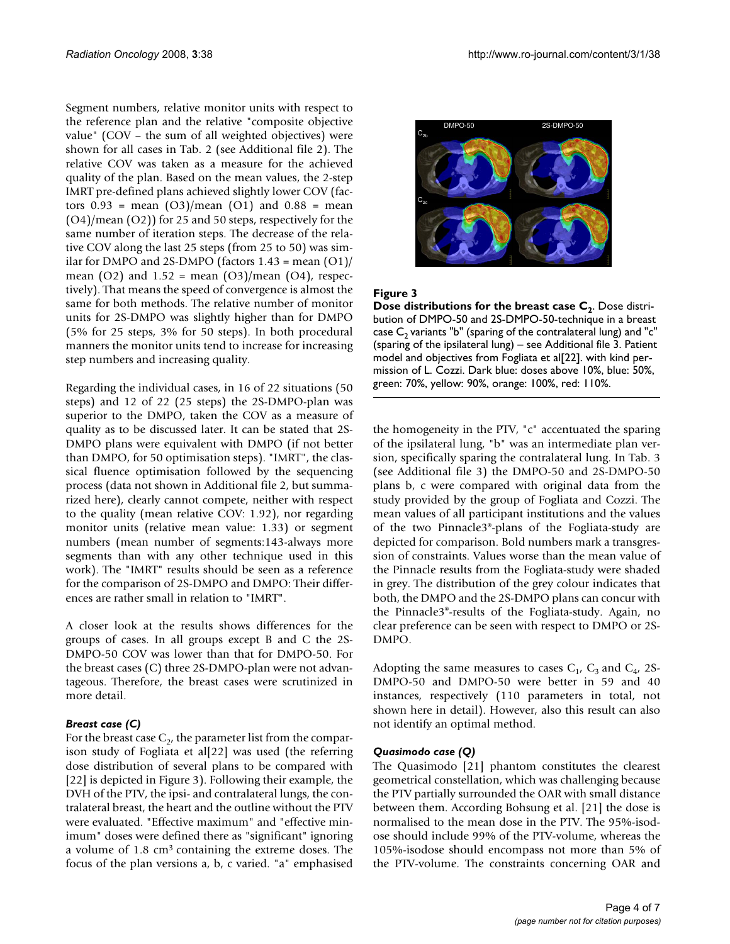Segment numbers, relative monitor units with respect to the reference plan and the relative "composite objective value" (COV – the sum of all weighted objectives) were shown for all cases in Tab. 2 (see Additional file 2). The relative COV was taken as a measure for the achieved quality of the plan. Based on the mean values, the 2-step IMRT pre-defined plans achieved slightly lower COV (factors  $0.93$  = mean  $(O3)/$ mean  $(O1)$  and  $0.88$  = mean (O4)/mean (O2)) for 25 and 50 steps, respectively for the same number of iteration steps. The decrease of the relative COV along the last 25 steps (from 25 to 50) was similar for DMPO and 2S-DMPO (factors  $1.43$  = mean  $(01)$ / mean  $(O2)$  and  $1.52$  = mean  $(O3)/$ mean  $(O4)$ , respectively). That means the speed of convergence is almost the same for both methods. The relative number of monitor units for 2S-DMPO was slightly higher than for DMPO (5% for 25 steps, 3% for 50 steps). In both procedural manners the monitor units tend to increase for increasing step numbers and increasing quality.

Regarding the individual cases, in 16 of 22 situations (50 steps) and 12 of 22 (25 steps) the 2S-DMPO-plan was superior to the DMPO, taken the COV as a measure of quality as to be discussed later. It can be stated that 2S-DMPO plans were equivalent with DMPO (if not better than DMPO, for 50 optimisation steps). "IMRT", the classical fluence optimisation followed by the sequencing process (data not shown in Additional file 2, but summarized here), clearly cannot compete, neither with respect to the quality (mean relative COV: 1.92), nor regarding monitor units (relative mean value: 1.33) or segment numbers (mean number of segments:143-always more segments than with any other technique used in this work). The "IMRT" results should be seen as a reference for the comparison of 2S-DMPO and DMPO: Their differences are rather small in relation to "IMRT".

A closer look at the results shows differences for the groups of cases. In all groups except B and C the 2S-DMPO-50 COV was lower than that for DMPO-50. For the breast cases (C) three 2S-DMPO-plan were not advantageous. Therefore, the breast cases were scrutinized in more detail.

#### *Breast case (C)*

For the breast case  $C_{2}$ , the parameter list from the comparison study of Fogliata et al[22] was used (the referring dose distribution of several plans to be compared with [22] is depicted in Figure 3). Following their example, the DVH of the PTV, the ipsi- and contralateral lungs, the contralateral breast, the heart and the outline without the PTV were evaluated. "Effective maximum" and "effective minimum" doses were defined there as "significant" ignoring a volume of 1.8 cm3 containing the extreme doses. The focus of the plan versions a, b, c varied. "a" emphasised



#### **Figure 3**

**Dose distributions for the breast case C<sub>2</sub>. Dose distri**bution of DMPO-50 and 2S-DMPO-50-technique in a breast case  $C_2$  variants "b" (sparing of the contralateral lung) and "c" (sparing of the ipsilateral lung) – see Additional file 3. Patient model and objectives from Fogliata et al[22]. with kind permission of L. Cozzi. Dark blue: doses above 10%, blue: 50%, green: 70%, yellow: 90%, orange: 100%, red: 110%.

the homogeneity in the PTV, "c" accentuated the sparing of the ipsilateral lung, "b" was an intermediate plan version, specifically sparing the contralateral lung. In Tab. 3 (see Additional file 3) the DMPO-50 and 2S-DMPO-50 plans b, c were compared with original data from the study provided by the group of Fogliata and Cozzi. The mean values of all participant institutions and the values of the two Pinnacle3®-plans of the Fogliata-study are depicted for comparison. Bold numbers mark a transgression of constraints. Values worse than the mean value of the Pinnacle results from the Fogliata-study were shaded in grey. The distribution of the grey colour indicates that both, the DMPO and the 2S-DMPO plans can concur with the Pinnacle3®-results of the Fogliata-study. Again, no clear preference can be seen with respect to DMPO or 2S-DMPO.

Adopting the same measures to cases  $C_1$ ,  $C_3$  and  $C_4$ , 2S-DMPO-50 and DMPO-50 were better in 59 and 40 instances, respectively (110 parameters in total, not shown here in detail). However, also this result can also not identify an optimal method.

## *Quasimodo case (Q)*

The Quasimodo [21] phantom constitutes the clearest geometrical constellation, which was challenging because the PTV partially surrounded the OAR with small distance between them. According Bohsung et al. [21] the dose is normalised to the mean dose in the PTV. The 95%-isodose should include 99% of the PTV-volume, whereas the 105%-isodose should encompass not more than 5% of the PTV-volume. The constraints concerning OAR and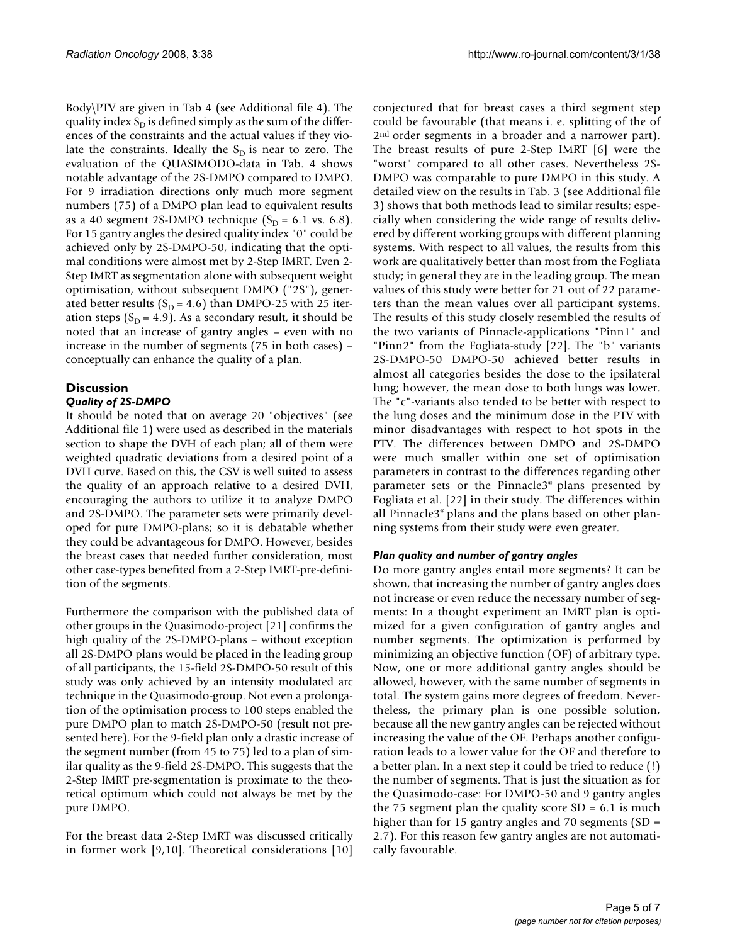Body\PTV are given in Tab 4 (see Additional file 4). The quality index  $S_D$  is defined simply as the sum of the differences of the constraints and the actual values if they violate the constraints. Ideally the  $S_D$  is near to zero. The evaluation of the QUASIMODO-data in Tab. 4 shows notable advantage of the 2S-DMPO compared to DMPO. For 9 irradiation directions only much more segment numbers (75) of a DMPO plan lead to equivalent results as a 40 segment 2S-DMPO technique  $(S_D = 6.1 \text{ vs. } 6.8)$ . For 15 gantry angles the desired quality index "0" could be achieved only by 2S-DMPO-50, indicating that the optimal conditions were almost met by 2-Step IMRT. Even 2- Step IMRT as segmentation alone with subsequent weight optimisation, without subsequent DMPO ("2S"), generated better results ( $S_D = 4.6$ ) than DMPO-25 with 25 iteration steps ( $S_D = 4.9$ ). As a secondary result, it should be noted that an increase of gantry angles – even with no increase in the number of segments (75 in both cases) – conceptually can enhance the quality of a plan.

# **Discussion**

## *Quality of 2S-DMPO*

It should be noted that on average 20 "objectives" (see Additional file 1) were used as described in the materials section to shape the DVH of each plan; all of them were weighted quadratic deviations from a desired point of a DVH curve. Based on this, the CSV is well suited to assess the quality of an approach relative to a desired DVH, encouraging the authors to utilize it to analyze DMPO and 2S-DMPO. The parameter sets were primarily developed for pure DMPO-plans; so it is debatable whether they could be advantageous for DMPO. However, besides the breast cases that needed further consideration, most other case-types benefited from a 2-Step IMRT-pre-definition of the segments.

Furthermore the comparison with the published data of other groups in the Quasimodo-project [21] confirms the high quality of the 2S-DMPO-plans – without exception all 2S-DMPO plans would be placed in the leading group of all participants, the 15-field 2S-DMPO-50 result of this study was only achieved by an intensity modulated arc technique in the Quasimodo-group. Not even a prolongation of the optimisation process to 100 steps enabled the pure DMPO plan to match 2S-DMPO-50 (result not presented here). For the 9-field plan only a drastic increase of the segment number (from 45 to 75) led to a plan of similar quality as the 9-field 2S-DMPO. This suggests that the 2-Step IMRT pre-segmentation is proximate to the theoretical optimum which could not always be met by the pure DMPO.

For the breast data 2-Step IMRT was discussed critically in former work [9,10]. Theoretical considerations [10]

conjectured that for breast cases a third segment step could be favourable (that means i. e. splitting of the of 2<sup>nd</sup> order segments in a broader and a narrower part). The breast results of pure 2-Step IMRT [6] were the "worst" compared to all other cases. Nevertheless 2S-DMPO was comparable to pure DMPO in this study. A detailed view on the results in Tab. 3 (see Additional file 3) shows that both methods lead to similar results; especially when considering the wide range of results delivered by different working groups with different planning systems. With respect to all values, the results from this work are qualitatively better than most from the Fogliata study; in general they are in the leading group. The mean values of this study were better for 21 out of 22 parameters than the mean values over all participant systems. The results of this study closely resembled the results of the two variants of Pinnacle-applications "Pinn1" and "Pinn2" from the Fogliata-study [22]. The "b" variants 2S-DMPO-50 DMPO-50 achieved better results in almost all categories besides the dose to the ipsilateral lung; however, the mean dose to both lungs was lower. The "c"-variants also tended to be better with respect to the lung doses and the minimum dose in the PTV with minor disadvantages with respect to hot spots in the PTV. The differences between DMPO and 2S-DMPO were much smaller within one set of optimisation parameters in contrast to the differences regarding other parameter sets or the Pinnacle3® plans presented by Fogliata et al. [22] in their study. The differences within all Pinnacle3® plans and the plans based on other planning systems from their study were even greater.

## *Plan quality and number of gantry angles*

Do more gantry angles entail more segments? It can be shown, that increasing the number of gantry angles does not increase or even reduce the necessary number of segments: In a thought experiment an IMRT plan is optimized for a given configuration of gantry angles and number segments. The optimization is performed by minimizing an objective function (OF) of arbitrary type. Now, one or more additional gantry angles should be allowed, however, with the same number of segments in total. The system gains more degrees of freedom. Nevertheless, the primary plan is one possible solution, because all the new gantry angles can be rejected without increasing the value of the OF. Perhaps another configuration leads to a lower value for the OF and therefore to a better plan. In a next step it could be tried to reduce (!) the number of segments. That is just the situation as for the Quasimodo-case: For DMPO-50 and 9 gantry angles the 75 segment plan the quality score  $SD = 6.1$  is much higher than for 15 gantry angles and 70 segments (SD = 2.7). For this reason few gantry angles are not automatically favourable.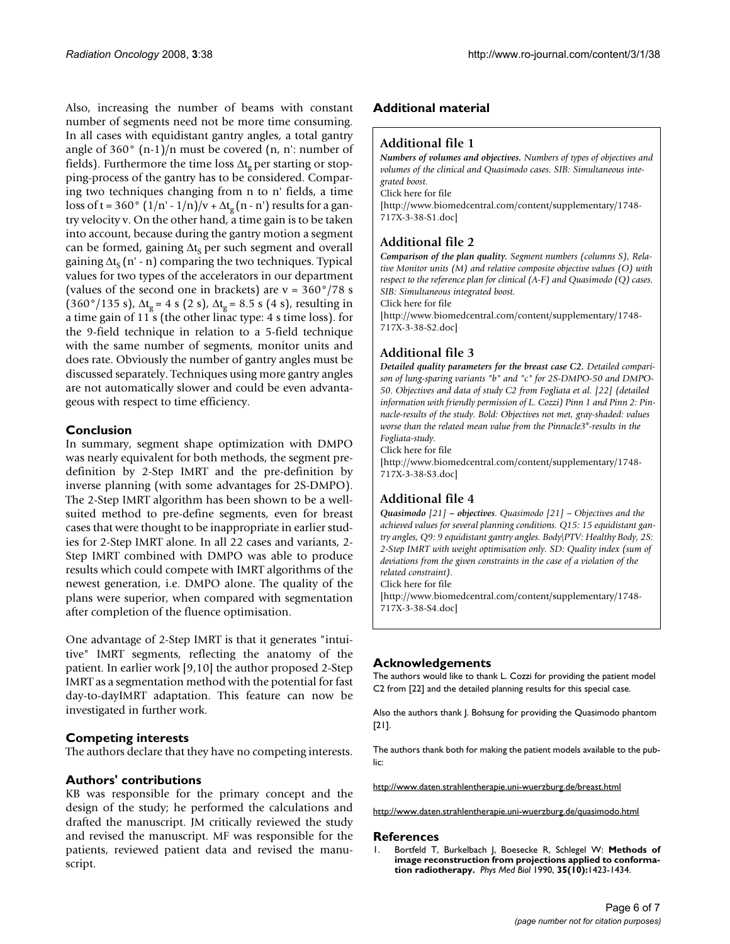Also, increasing the number of beams with constant number of segments need not be more time consuming. In all cases with equidistant gantry angles, a total gantry angle of  $360^\circ$  (n-1)/n must be covered (n, n': number of fields). Furthermore the time loss  $\Delta t_{\varrho}$  per starting or stopping-process of the gantry has to be considered. Comparing two techniques changing from n to n' fields, a time loss of t = 360°  $(1/n' - 1/n)/v + \Delta t_g (n - n')$  results for a gantry velocity v. On the other hand, a time gain is to be taken into account, because during the gantry motion a segment can be formed, gaining  $\Delta t_s$  per such segment and overall gaining  $\Delta t_s$  (n' - n) comparing the two techniques. Typical values for two types of the accelerators in our department (values of the second one in brackets) are  $v = 360^\circ/78$  s (360°/135 s),  $\Delta t_g = 4$  s (2 s),  $\Delta t_g = 8.5$  s (4 s), resulting in a time gain of 11 s (the other linac type: 4 s time loss). for the 9-field technique in relation to a 5-field technique with the same number of segments, monitor units and does rate. Obviously the number of gantry angles must be discussed separately. Techniques using more gantry angles are not automatically slower and could be even advantageous with respect to time efficiency.

## **Conclusion**

In summary, segment shape optimization with DMPO was nearly equivalent for both methods, the segment predefinition by 2-Step IMRT and the pre-definition by inverse planning (with some advantages for 2S-DMPO). The 2-Step IMRT algorithm has been shown to be a wellsuited method to pre-define segments, even for breast cases that were thought to be inappropriate in earlier studies for 2-Step IMRT alone. In all 22 cases and variants, 2- Step IMRT combined with DMPO was able to produce results which could compete with IMRT algorithms of the newest generation, i.e. DMPO alone. The quality of the plans were superior, when compared with segmentation after completion of the fluence optimisation.

One advantage of 2-Step IMRT is that it generates "intuitive" IMRT segments, reflecting the anatomy of the patient. In earlier work [9,10] the author proposed 2-Step IMRT as a segmentation method with the potential for fast day-to-dayIMRT adaptation. This feature can now be investigated in further work.

## **Competing interests**

The authors declare that they have no competing interests.

## **Authors' contributions**

KB was responsible for the primary concept and the design of the study; he performed the calculations and drafted the manuscript. JM critically reviewed the study and revised the manuscript. MF was responsible for the patients, reviewed patient data and revised the manuscript.

## **Additional material**

#### **Additional file 1**

*Numbers of volumes and objectives. Numbers of types of objectives and volumes of the clinical and Quasimodo cases. SIB: Simultaneous integrated boost.* Click here for file [\[http://www.biomedcentral.com/content/supplementary/1748-](http://www.biomedcentral.com/content/supplementary/1748-717X-3-38-S1.doc)

717X-3-38-S1.doc]

# **Additional file 2**

*Comparison of the plan quality. Segment numbers (columns S), Relative Monitor units (M) and relative composite objective values (O) with respect to the reference plan for clinical (A-F) and Quasimodo (Q) cases. SIB: Simultaneous integrated boost.*

Click here for file

[\[http://www.biomedcentral.com/content/supplementary/1748-](http://www.biomedcentral.com/content/supplementary/1748-717X-3-38-S2.doc) 717X-3-38-S2.doc]

## **Additional file 3**

*Detailed quality parameters for the breast case C2. Detailed comparison of lung-sparing variants "b" and "c" for 2S-DMPO-50 and DMPO-50. Objectives and data of study C2 from Fogliata et al. [22] (detailed information with friendly permission of L. Cozzi) Pinn 1 and Pinn 2: Pinnacle-results of the study. Bold: Objectives not met, gray-shaded: values worse than the related mean value from the Pinnacle3®-results in the Fogliata-study.*

Click here for file

[\[http://www.biomedcentral.com/content/supplementary/1748-](http://www.biomedcentral.com/content/supplementary/1748-717X-3-38-S3.doc) 717X-3-38-S3.doc]

# **Additional file 4**

*Quasimodo [21] – objectives. Quasimodo [21] – Objectives and the achieved values for several planning conditions. Q15: 15 equidistant gantry angles, Q9: 9 equidistant gantry angles. Body\PTV: Healthy Body, 2S: 2-Step IMRT with weight optimisation only. SD: Quality index (sum of deviations from the given constraints in the case of a violation of the related constraint).* Click here for file

[\[http://www.biomedcentral.com/content/supplementary/1748-](http://www.biomedcentral.com/content/supplementary/1748-717X-3-38-S4.doc) 717X-3-38-S4.doc]

## **Acknowledgements**

The authors would like to thank L. Cozzi for providing the patient model C2 from [22] and the detailed planning results for this special case.

Also the authors thank J. Bohsung for providing the Quasimodo phantom [21].

The authors thank both for making the patient models available to the public:

http://www.daten.strahlentherapie.uni-wuerzburg.de/breast.html

http://www.daten.strahlentherapie.uni-wuerzburg.de/quasimodo.html

#### **References**

1. Bortfeld T, Burkelbach J, Boesecke R, Schlegel W: **[Methods of](http://www.ncbi.nlm.nih.gov/entrez/query.fcgi?cmd=Retrieve&db=PubMed&dopt=Abstract&list_uids=2243845) [image reconstruction from projections applied to conforma](http://www.ncbi.nlm.nih.gov/entrez/query.fcgi?cmd=Retrieve&db=PubMed&dopt=Abstract&list_uids=2243845)[tion radiotherapy.](http://www.ncbi.nlm.nih.gov/entrez/query.fcgi?cmd=Retrieve&db=PubMed&dopt=Abstract&list_uids=2243845)** *Phys Med Biol* 1990, **35(10):**1423-1434.